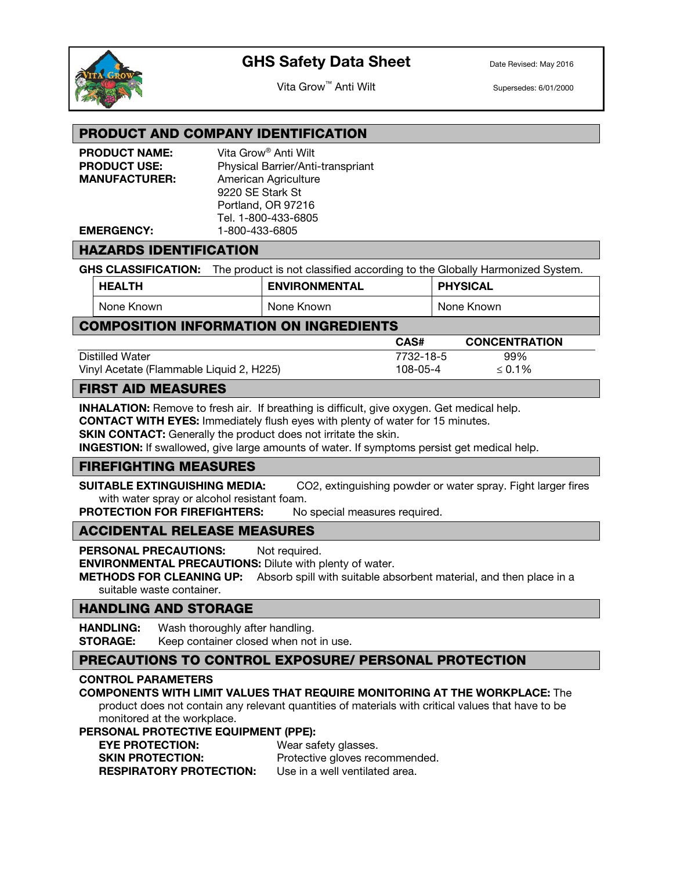

Vita Grow™ Anti Wilt Supersedes: 6/01/2000

### PRODUCT AND COMPANY IDENTIFICATION

| <b>PRODUCT NAME:</b> | Vita Grow <sup>®</sup> Anti Wilt  |
|----------------------|-----------------------------------|
| <b>PRODUCT USE:</b>  | Physical Barrier/Anti-transpriant |
| <b>MANUFACTURER:</b> | American Agriculture              |
|                      | 9220 SE Stark St                  |
|                      | Portland, OR 97216                |
|                      | Tel. 1-800-433-6805               |
| <b>EMERGENCY:</b>    | 1-800-433-6805                    |

### HAZARDS IDENTIFICATION

GHS CLASSIFICATION: The product is not classified according to the Globally Harmonized System.

| <b>HEALTH</b> | <b>ENVIRONMENTAL</b> | <b>PHYSICAL</b> |
|---------------|----------------------|-----------------|
| None Known    | None Known           | None Known      |

### COMPOSITION INFORMATION ON INGREDIENTS

|                                          | CAS#      | <b>CONCENTRATION</b> |
|------------------------------------------|-----------|----------------------|
| Distilled Water                          | 7732-18-5 | 99%                  |
| Vinyl Acetate (Flammable Liquid 2, H225) | 108-05-4  | $\leq 0.1\%$         |

### FIRST AID MEASURES

**INHALATION:** Remove to fresh air. If breathing is difficult, give oxygen. Get medical help.

CONTACT WITH EYES: Immediately flush eyes with plenty of water for 15 minutes.

**SKIN CONTACT:** Generally the product does not irritate the skin.

INGESTION: If swallowed, give large amounts of water. If symptoms persist get medical help.

### FIREFIGHTING MEASURES

SUITABLE EXTINGUISHING MEDIA: CO2, extinguishing powder or water spray. Fight larger fires with water spray or alcohol resistant foam.

PROTECTION FOR FIREFIGHTERS: No special measures required.

### ACCIDENTAL RELEASE MEASURES

PERSONAL PRECAUTIONS: Not required.

ENVIRONMENTAL PRECAUTIONS: Dilute with plenty of water.

**METHODS FOR CLEANING UP:** Absorb spill with suitable absorbent material, and then place in a suitable waste container.

### HANDLING AND STORAGE

HANDLING: Wash thoroughly after handling. **STORAGE:** Keep container closed when not in use.

### PRECAUTIONS TO CONTROL EXPOSURE/ PERSONAL PROTECTION

#### CONTROL PARAMETERS

### COMPONENTS WITH LIMIT VALUES THAT REQUIRE MONITORING AT THE WORKPLACE: The

product does not contain any relevant quantities of materials with critical values that have to be monitored at the workplace.

### PERSONAL PROTECTIVE EQUIPMENT (PPE):

| <b>EYE PROTECTION:</b>         | Wear safety glasses.           |
|--------------------------------|--------------------------------|
| <b>SKIN PROTECTION:</b>        | Protective gloves recommended. |
| <b>RESPIRATORY PROTECTION:</b> | Use in a well ventilated area. |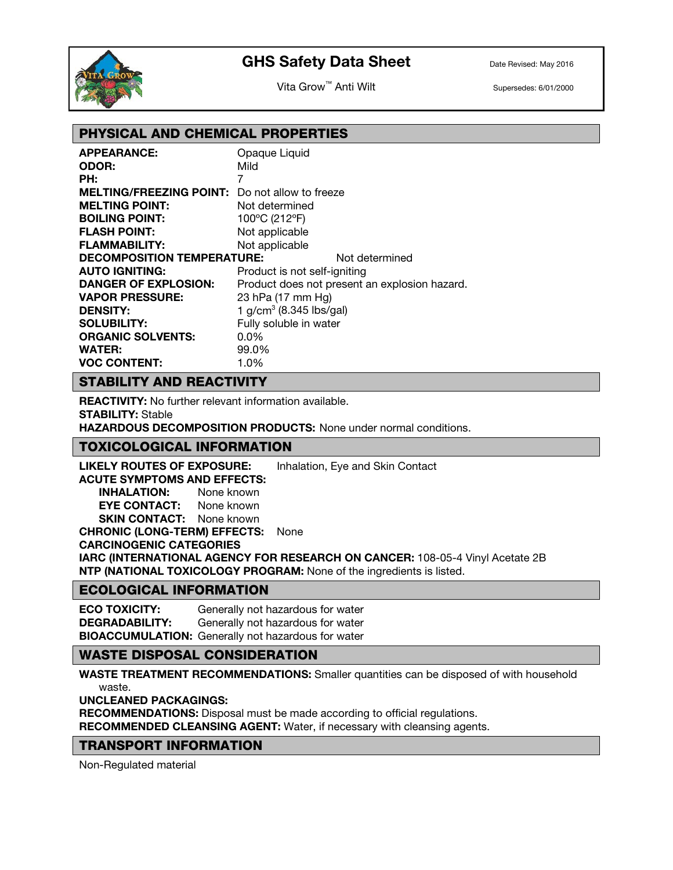

Vita Grow™ Anti Wilt Supersedes: 6/01/2000

## PHYSICAL AND CHEMICAL PROPERTIES

| <b>APPEARANCE:</b>                | Opaque Liquid                |                                               |
|-----------------------------------|------------------------------|-----------------------------------------------|
| <b>ODOR:</b>                      | Mild                         |                                               |
| PH:                               | 7                            |                                               |
| <b>MELTING/FREEZING POINT:</b>    | Do not allow to freeze       |                                               |
| <b>MELTING POINT:</b>             | Not determined               |                                               |
| <b>BOILING POINT:</b>             | 100°C (212°F)                |                                               |
| <b>FLASH POINT:</b>               | Not applicable               |                                               |
| <b>FLAMMABILITY:</b>              | Not applicable               |                                               |
| <b>DECOMPOSITION TEMPERATURE:</b> |                              | Not determined                                |
| <b>AUTO IGNITING:</b>             | Product is not self-igniting |                                               |
| <b>DANGER OF EXPLOSION:</b>       |                              | Product does not present an explosion hazard. |
| <b>VAPOR PRESSURE:</b>            | 23 hPa (17 mm Hg)            |                                               |
| <b>DENSITY:</b>                   | 1 $g/cm3$ (8.345 lbs/gal)    |                                               |
| <b>SOLUBILITY:</b>                | Fully soluble in water       |                                               |
| <b>ORGANIC SOLVENTS:</b>          | $0.0\%$                      |                                               |
| <b>WATER:</b>                     | 99.0%                        |                                               |
| <b>VOC CONTENT:</b>               | 1.0%                         |                                               |

## STABILITY AND REACTIVITY

REACTIVITY: No further relevant information available.

STABILITY: Stable

HAZARDOUS DECOMPOSITION PRODUCTS: None under normal conditions.

### TOXICOLOGICAL INFORMATION

LIKELY ROUTES OF EXPOSURE: Inhalation, Eye and Skin Contact ACUTE SYMPTOMS AND EFFECTS: INHALATION: None known EYE CONTACT: None known **SKIN CONTACT:** None known CHRONIC (LONG-TERM) EFFECTS: None CARCINOGENIC CATEGORIES IARC (INTERNATIONAL AGENCY FOR RESEARCH ON CANCER: 108-05-4 Vinyl Acetate 2B NTP (NATIONAL TOXICOLOGY PROGRAM: None of the ingredients is listed.

### ECOLOGICAL INFORMATION

ECO TOXICITY: Generally not hazardous for water DEGRADABILITY: Generally not hazardous for water BIOACCUMULATION: Generally not hazardous for water

## WASTE DISPOSAL CONSIDERATION

WASTE TREATMENT RECOMMENDATIONS: Smaller quantities can be disposed of with household waste.

UNCLEANED PACKAGINGS:

RECOMMENDATIONS: Disposal must be made according to official regulations.

RECOMMENDED CLEANSING AGENT: Water, if necessary with cleansing agents.

## TRANSPORT INFORMATION

Non-Regulated material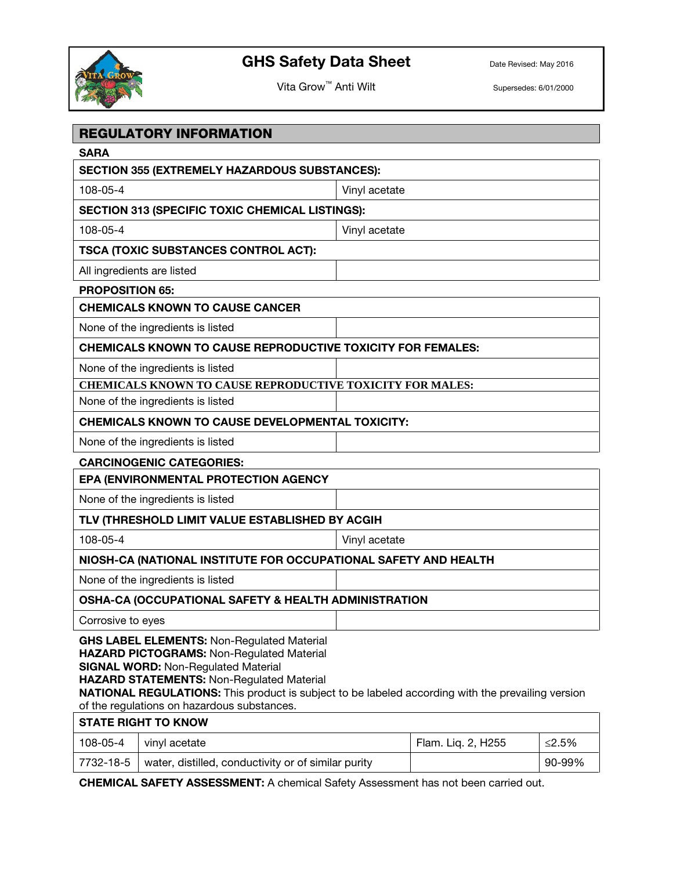

Vita Grow™ Anti Wilt Supersedes: 6/01/2000

|                            | <b>REGULATORY INFORMATION</b>                                                                                                                                                                                                                                                                                                                        |               |                    |          |  |
|----------------------------|------------------------------------------------------------------------------------------------------------------------------------------------------------------------------------------------------------------------------------------------------------------------------------------------------------------------------------------------------|---------------|--------------------|----------|--|
| <b>SARA</b>                |                                                                                                                                                                                                                                                                                                                                                      |               |                    |          |  |
|                            | <b>SECTION 355 (EXTREMELY HAZARDOUS SUBSTANCES):</b>                                                                                                                                                                                                                                                                                                 |               |                    |          |  |
| 108-05-4                   |                                                                                                                                                                                                                                                                                                                                                      | Vinyl acetate |                    |          |  |
|                            | <b>SECTION 313 (SPECIFIC TOXIC CHEMICAL LISTINGS):</b>                                                                                                                                                                                                                                                                                               |               |                    |          |  |
| 108-05-4                   | Vinyl acetate                                                                                                                                                                                                                                                                                                                                        |               |                    |          |  |
|                            | <b>TSCA (TOXIC SUBSTANCES CONTROL ACT):</b>                                                                                                                                                                                                                                                                                                          |               |                    |          |  |
| All ingredients are listed |                                                                                                                                                                                                                                                                                                                                                      |               |                    |          |  |
| <b>PROPOSITION 65:</b>     |                                                                                                                                                                                                                                                                                                                                                      |               |                    |          |  |
|                            | <b>CHEMICALS KNOWN TO CAUSE CANCER</b>                                                                                                                                                                                                                                                                                                               |               |                    |          |  |
|                            | None of the ingredients is listed                                                                                                                                                                                                                                                                                                                    |               |                    |          |  |
|                            | <b>CHEMICALS KNOWN TO CAUSE REPRODUCTIVE TOXICITY FOR FEMALES:</b>                                                                                                                                                                                                                                                                                   |               |                    |          |  |
|                            | None of the ingredients is listed                                                                                                                                                                                                                                                                                                                    |               |                    |          |  |
|                            | CHEMICALS KNOWN TO CAUSE REPRODUCTIVE TOXICITY FOR MALES:                                                                                                                                                                                                                                                                                            |               |                    |          |  |
|                            | None of the ingredients is listed                                                                                                                                                                                                                                                                                                                    |               |                    |          |  |
|                            | <b>CHEMICALS KNOWN TO CAUSE DEVELOPMENTAL TOXICITY:</b>                                                                                                                                                                                                                                                                                              |               |                    |          |  |
|                            | None of the ingredients is listed                                                                                                                                                                                                                                                                                                                    |               |                    |          |  |
|                            | <b>CARCINOGENIC CATEGORIES:</b>                                                                                                                                                                                                                                                                                                                      |               |                    |          |  |
|                            | EPA (ENVIRONMENTAL PROTECTION AGENCY                                                                                                                                                                                                                                                                                                                 |               |                    |          |  |
|                            | None of the ingredients is listed                                                                                                                                                                                                                                                                                                                    |               |                    |          |  |
|                            | TLV (THRESHOLD LIMIT VALUE ESTABLISHED BY ACGIH                                                                                                                                                                                                                                                                                                      |               |                    |          |  |
| 108-05-4<br>Vinyl acetate  |                                                                                                                                                                                                                                                                                                                                                      |               |                    |          |  |
|                            | NIOSH-CA (NATIONAL INSTITUTE FOR OCCUPATIONAL SAFETY AND HEALTH                                                                                                                                                                                                                                                                                      |               |                    |          |  |
|                            | None of the ingredients is listed                                                                                                                                                                                                                                                                                                                    |               |                    |          |  |
|                            | OSHA-CA (OCCUPATIONAL SAFETY & HEALTH ADMINISTRATION                                                                                                                                                                                                                                                                                                 |               |                    |          |  |
| Corrosive to eyes          |                                                                                                                                                                                                                                                                                                                                                      |               |                    |          |  |
|                            | <b>GHS LABEL ELEMENTS: Non-Regulated Material</b><br>HAZARD PICTOGRAMS: Non-Regulated Material<br><b>SIGNAL WORD: Non-Regulated Material</b><br>HAZARD STATEMENTS: Non-Regulated Material<br><b>NATIONAL REGULATIONS:</b> This product is subject to be labeled according with the prevailing version<br>of the regulations on hazardous substances. |               |                    |          |  |
|                            | <b>STATE RIGHT TO KNOW</b>                                                                                                                                                                                                                                                                                                                           |               |                    |          |  |
| 108-05-4                   | vinyl acetate                                                                                                                                                                                                                                                                                                                                        |               | Flam. Liq. 2, H255 | $≤2.5\%$ |  |
| 7732-18-5                  | water, distilled, conductivity or of similar purity                                                                                                                                                                                                                                                                                                  |               |                    | 90-99%   |  |

CHEMICAL SAFETY ASSESSMENT: A chemical Safety Assessment has not been carried out.